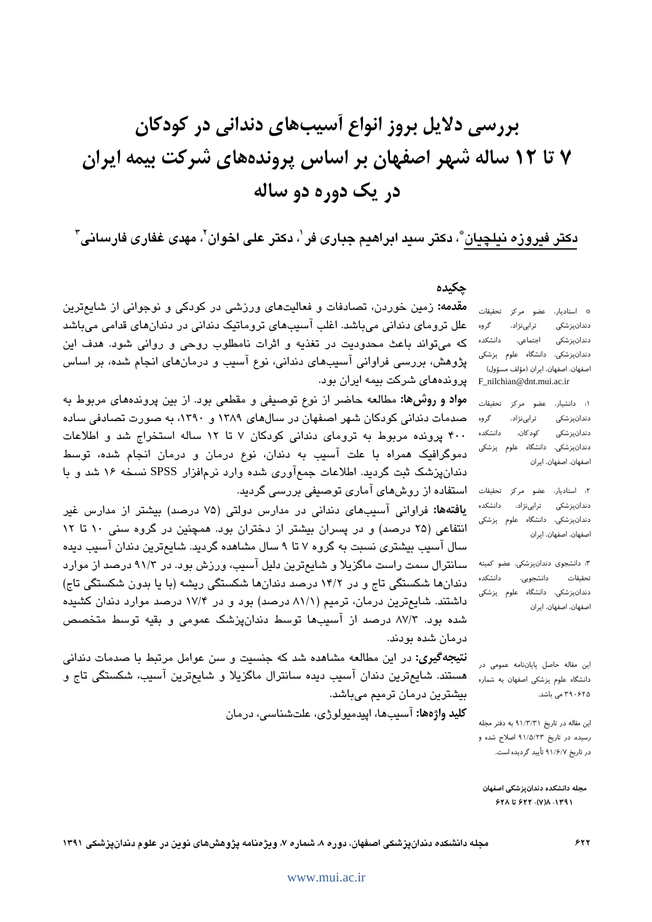# بررسی دلایل بروز انواع آسیبهای دندانی در کودکان ۷ تا ۱۲ ساله شهر اصفهان بر اساس پروندههای شرکت بیمه ایران در یک دوره دو ساله

دکتر فیروزه نیلچیان ؓ ، دکتر سید ابراهیم جباری فر ٰ ، دکتر علی اخوان ؒ ، مهدی غفاری فارسانی ؓ

حكىدە

مقدمه: زمین خوردن، تصادفات و فعالیتهای ورزشی در کودکی و نوجوانی از شایعترین علل ترومای دندانی میباشد. اغلب آسیبهای تروماتیک دندانی در دندانهای قدامی میباشد که میتواند باعث محدودیت در تغذیه و اثرات نامطلوب روحی و روانی شود. هدف این پژوهش، بررسی فراوانی آسیبهای دندانی، نوع آسیب و درمانهای انجام شده، بر اساس F\_nilchian@dnt.mui.ac.ir يروندههاي شركت بيمه ايران بود.

مواد و روشها: مطالعه حاضر از نوع توصیفی و مقطعی بود. از بین پروندههای مربوط به صدمات دندانی کودکان شهر اصفهان در سالهای ۱۳۸۹ و ۱۳۹۰، به صورت تصادفی ساده ۴۰۰ پرونده مربوط به ترومای دندانی کودکان ۷ تا ۱۲ ساله استخراج شد و اطلاعات دموگرافیک همراه با علت آسیب به دندان، نوع درمان و درمان انجام شده، توسط دندان پزشک ثبت گردید. اطلاعات جمعآوری شده وارد نرمافزار SPSS نسخه ۱۶ شد و با استفاده از روشهای آماری توصیفی بررسی گردید.

**یافتهها:** فراوانی آسیبهای دندانی در مدارس دولتی (۷۵ درصد) بیشتر از مدارس غیر انتفاعی (۲۵ درصد) و در پسران بیشتر از دختران بود. همچنین در گروه سنی ۱۰ تا ۱۲ سال آسیب بیشتری نسبت به گروه ۷ تا ۹ سال مشاهده گردید. شایعترین دندان آسیب دیده سانترال سمت راست ماگزیلا و شایعترین دلیل آسیب، ورزش بود. در ۹۱/۳ درصد از موارد دندانها شکستگی تاج و در ۱۴/۲ درصد دندانها شکستگی ریشه (با یا بدون شکستگی تاج) داشتند. شایع ترین درمان، ترمیم (۸۱/۱ درصد) بود و در ۱۷/۴ درصد موارد دندان کشیده شده بود. ۸۷/۳ درصد از آسیبها توسط دندانپزشک عمومی و بقیه توسط متخصص درمان شده بودند.

\* استادیار، عضو مرکز تحقیقات گر وه تر ابے نژ اد، دندانیزشکی دانشكده اجتماعی، دندانپزشکی دندانپزشکی، دانشگاه علوم پزشکی اصفهان، اصفهان، ایران (مؤلف مسؤول)

١: دانشیار، عضو مرکز تحقیقات گر وه تر ابی نژ اد، دندان بز شکی دانشكده کود کان، دندانپزشکی دندانپزشکی، دانشگاه علوم پزشکی اصفهان، اصفهان، ایران

٢: استاديار، عضو مركز تحقيقات دندانپزشکی ترابینژاد، دانشکده دندانپزشکی، دانشگاه علوم پزشکی اصفهان، اصفهان، ایران

٣. دانشجوی دندانپزشکی، عضو کمیته تحقيقات دانشجويي، دانشكده دندانپزشکی، دانشگاه علوم پزشکی اصفهان، اصفهان، ایران

این مقاله حاصل پایان<mark>نامه عمومی در</mark> دانشگاه علوم بزشکی اصفهان به شماره ۳۹۰۶۲۵ می باشد.

این مقاله در تاریخ ۹۱/٣/٣١ به دفتر مجله رسیده، در تاریخ ۹۱/۵/۲۳ اصلاح شده و در تاریخ ۹۱/۶/۷ تأیید گردیده است.

مجله دانشكده دندانپزشكى اصفهان ١٣٩١، ٧(٧): ۶٢٢ تا ۶٢٨

**نتیجهگیری:** در این مطالعه مشاهده شد که جنسیت و سن عوامل مرتبط با صدمات دندانی هستند. شایع ترین دندان آسیب دیده سانترال ماگزیلا و شایع ترین آسیب، شکستگی تاج و بیشترین درمان ترمیم میباشد.

**کلید واژهها:** آسیپها، ایپدمیولوژی، علتشناسی، درمان

 $511$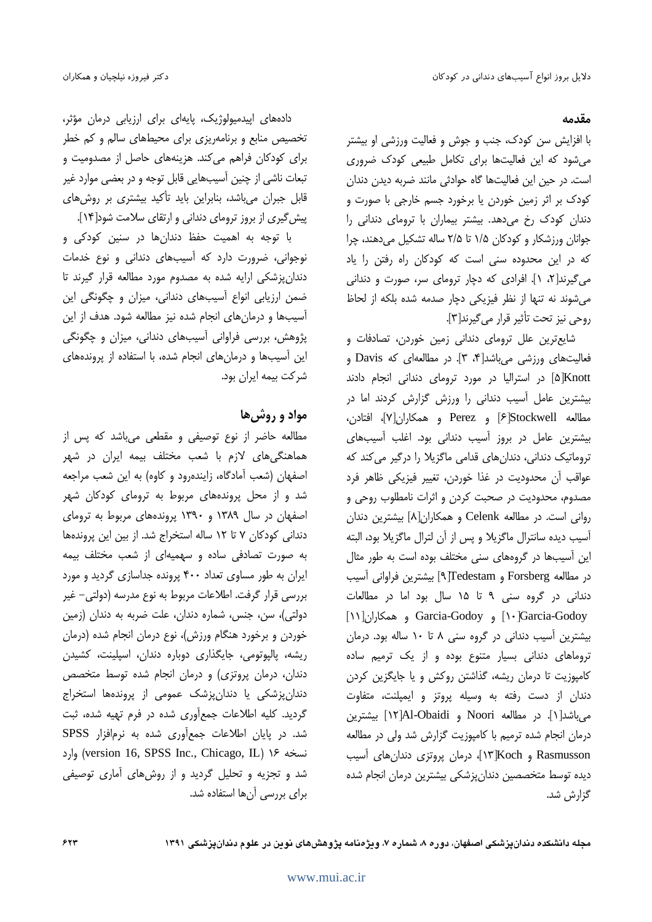#### مقدمه

با افزایش سن کودک، جنب و جوش و فعالیت ورزشی او بیشتر می شود که این فعالیتها برای تکامل طبیعی کودک ضروری است. در حین این فعالیتها گاه حوادثی مانند ضربه دیدن دندان کودک بر اثر زمین خوردن یا برخورد جسم خارجی با صورت و دندان کودک رخ میدهد. بیشتر بیماران با ترومای دندانی را جوانان ورزشکار و کودکان ۱/۵ تا ۲/۵ ساله تشکیل می دهند، چرا که در این محدوده سنی است که کودکان راه رفتن را یاد می گیرند[۲، ۱]. افرادی که دچار ترومای سر، صورت و دندانی می شوند نه تنها از نظر فیزیکی دچار صدمه شده بلکه از لحاظ روحي نيز تحت تأثير قرار مي گيرند[٣].

شایع ترین علل ترومای دندانی زمین خوردن، تصادفات و فعالیتهای ورزشی میباشد[۴، ۳]. در مطالعهای که Davis و [۵]Knott در استرالیا در مورد ترومای دندانی انجام دادند بیشترین عامل آسیب دندانی را ورزش گزارش کردند اما در مطالعه Stockwell[۶] و Perez و همكاران[۷]، افتادن، بیشترین عامل در بروز آسیب دندانی بود. اغلب آسیبهای تروماتیک دندانی، دندانهای قدامی ماگزیلا را درگیر می کند که عواقب أن محدوديت در غذا خوردن، تغيير فيزيكي ظاهر فرد مصدوم، محدودیت در صحبت کردن و اثرات نامطلوب روحی و روانی است. در مطالعه Celenk و همکاران[۸] بیشترین دندان آسيب ديده سانترال ماگزيلا و پس از آن لترال ماگزيلا بود، البته این آسیبها در گروههای سنی مختلف بوده است به طور مثال در مطالعه Forsberg و Tedestam][9] بيشترين فراواني أسيب دندانی در گروه سنی ۹ تا ۱۵ سال بود اما در مطالعات [۱۰]Garcia-Godoy و همكاران Garcia-Godoy و همكاران [۱۱] بیشترین آسیب دندانی در گروه سنی ۸ تا ۱۰ ساله بود. درمان تروماهای دندانی بسیار متنوع بوده و از یک ترمیم ساده کامپوزیت تا درمان ریشه، گذاشتن روکش و یا جایگزین کردن دندان از دست رفته به وسیله پروتز و ایمپلنت، متفاوت می باشد[۱]. در مطالعه Noori و Al-Obaidi[۱۲] بیشترین درمان انجام شده ترمیم با کامپوزیت گزارش شد ولی در مطالعه Rasmusson و Koch][۱۳]، درمان پروتزی دندانهای آسیب دیده توسط متخصصین دندان پزشکی بیشترین درمان انجام شده گزارش شد.

دادههای اپیدمیولوژیک، پایهای برای ارزیابی درمان مؤثر، تخصیص منابع و برنامهریزی برای محیطهای سالم و کم خطر برای کودکان فراهم میکند. هزینههای حاصل از مصدومیت و تبعات ناشی از چنین آسیبهایی قابل توجه و در بعضی موارد غیر قابل جبران میباشد، بنابراین باید تأکید بیشتری بر روشهای پیش گیری از بروز ترومای دندانی و ارتقای سلامت شود[۱۴].

با توجه به اهمیت حفظ دندانها در سنین کودکی و نوجوانی، ضرورت دارد که آسیبهای دندانی و نوع خدمات دندانپزشکی ارایه شده به مصدوم مورد مطالعه قرار گیرند تا ضمن ارزیابی انواع آسیبهای دندانی، میزان و چگونگی این آسیبها و درمان های انجام شده نیز مطالعه شود. هدف از این پژوهش، بررسی فراوانی آسیبهای دندانی، میزان و چگونگی این آسیبها و درمانهای انجام شده، با استفاده از پروندههای شركت بيمه ايران بود.

# مواد و روش ها

مطالعه حاضر از نوع توصیفی و مقطعی میباشد که پس از هماهنگیهای لازم با شعب مختلف بیمه ایران در شهر اصفهان (شعب آمادگاه، زایندهرود و کاوه) به این شعب مراجعه شد و از محل پروندههای مربوط به ترومای کودکان شهر اصفهان در سال ۱۳۸۹ و ۱۳۹۰ پروندههای مربوط به ترومای دندانی کودکان ۷ تا ۱۲ ساله استخراج شد. از بین این پروندهها به صورت تصادفی ساده و سهمیهای از شعب مختلف بیمه ایران به طور مساوی تعداد ۴۰۰ پرونده جداسازی گردید و مورد بررسی قرار گرفت. اطلاعات مربوط به نوع مدرسه (دولتی– غیر دولتی)، سن، جنس، شماره دندان، علت ضربه به دندان (زمین خوردن و برخورد هنگام ورزش)، نوع درمان انجام شده (درمان ریشه، پالپوتومی، جایگذاری دوباره دندان، اسپلینت، کشیدن دندان، درمان پروتزی) و درمان انجام شده توسط متخصص دندان پزشکی یا دندان پزشک عمومی از پروندهها استخراج گردید. کلیه اطلاعات جمعآوری شده در فرم تهیه شده، ثبت شد. در پایان اطلاعات جمعآوری شده به نرمافزار SPSS نسخه ۱۶ (version 16, SPSS Inc., Chicago, IL) وارد شد و تجزیه و تحلیل گردید و از روش های آماری توصیفی برای بررسی آنها استفاده شد.

مجله دانشکده دندانپزشکی اصفهان، دوره ۸، شماره ۷، ویژهنامه پژوهشهای نوین در علوم دندانپزشکی ۱۳۹۱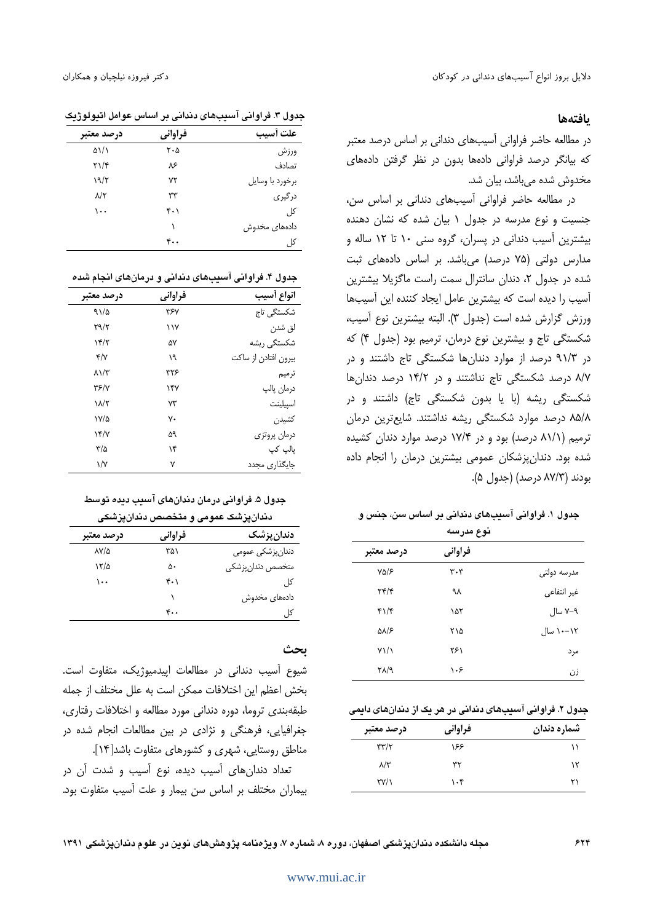#### بافتهها

در مطالعه حاضر فراوانی آسیبهای دندانی بر اساس درصد معتبر که بیانگر درصد فراوانی دادهها بدون در نظر گرفتن دادههای مخدوش شده می باشد، بیان شد.

در مطالعه حاضر فراوانی آسیبهای دندانی بر اساس سن، جنسیت و نوع مدرسه در جدول ۱ بیان شده که نشان دهنده بیشترین آسیب دندانی در پسران، گروه سنی ۱۰ تا ۱۲ ساله و مدارس دولتی (۷۵ درصد) میباشد. بر اساس دادههای ثبت شده در جدول ۲، دندان سانترال سمت راست ماگزیلا بیشترین آسیب را دیده است که بیشترین عامل ایجاد کننده این آسیبها ورزش گزارش شده است (جدول ۳). البته بیشترین نوع آسیب، شکستگی تاج و بیشترین نوع درمان، ترمیم بود (جدول ۴) که در ۹۱/۳ درصد از موارد دندانها شکستگی تاج داشتند و در ٨/٧ درصد شكستگی تاج نداشتند و در ١۴/٢ درصد دندانها شکستگی ریشه (با یا بدون شکستگی تاج) داشتند و در ٨۵/٨ درصد موارد شكستگى ريشه نداشتند. شايعترين درمان ترمیم (۸۱/۱ درصد) بود و در ۱۷/۴ درصد موارد دندان کشیده شده بود. دندان پزشکان عمومی بیشترین درمان را انجام داده بودند (۸۷/۳ درصد) (جدول ۵).

جدول ١. فراوانی آسیبهای دندانی بر اساس سن، جنس و  $\overline{a}$ 

| ىوج سرسە                             |                               |             |
|--------------------------------------|-------------------------------|-------------|
| درصد معتبر                           | فراوانى                       |             |
| $Y\Delta$ /۶                         | $\mathbf{r} \cdot \mathbf{r}$ | مدرسه دولتی |
| $\mathbf{Y} \mathbf{Y} / \mathbf{Y}$ | ٩٨                            | غير انتفاعي |
| $f\$                                 | ۱۵۲                           | ۷–۷ سال     |
| ۵۸/۶                                 | ۲۱۵                           | ۰۱۲–۱۰ سال  |
| $Y\setminus\setminus$                | ۲۶۱                           | مرد         |
| ٢٨/٩                                 | ۱۰۶                           | زن          |
|                                      |                               |             |

جدول ۲. فراوانی آسیبهای دندانی در هر یک از دندانهای دایمی

| درصد معتبر           | فراواني | شماره دندان |
|----------------------|---------|-------------|
| 55/7                 | ۱۶۶     | ۱۱          |
| $\lambda/\tau$       | ٣٢      | ۱۲          |
| $\frac{Y}{\sqrt{2}}$ | ۱۰۴     | ۲۱          |

جدول ٣. فراواني آسيبهاي دنداني بر اساس عوامل اتيولوژيک

| درصد معتبر           | فراواني | علت أسيب        |
|----------------------|---------|-----------------|
| $\Delta \frac{1}{2}$ | ۲۰۵     | ورزش            |
| $\gamma$             | ٨۶      | تصادف           |
| ۱۹/۲                 | ۷۲      | برخورد با وسایل |
| $\lambda/\tau$       | ٣٣      | درگیری          |
| ۱۰۰                  | ۴۰۱     | کل ِ            |
|                      |         | دادەھاى مخدوش   |
|                      | ۴۰۰     | کل              |

| جدول ۴. فراوانی آسیبهای دندانی و درمانهای انجام شده |  |  |
|-----------------------------------------------------|--|--|
|                                                     |  |  |
|                                                     |  |  |
|                                                     |  |  |

| درصد معتبر                   | فراواني | انواع أسيب           |
|------------------------------|---------|----------------------|
| 91/2                         | ٣۶٧     | شکستگی تاج           |
| $\Upsilon \gamma / \Upsilon$ | ۱۱۷     | لق شدن               |
| ۱۴/۲                         | ۵٧      | شکستگ <i>ی</i> ریشه  |
| $\mathbf{f}/\mathbf{v}$      | ۱۹      | بيرون افتادن از ساكت |
| $\lambda$ $\sqrt{r}$         | ۳۲۶     | ترميم                |
| Y5/Y                         | ۱۴۷     | درمان پالپ           |
| ۱۸/۲                         | ۷۳      | اسييلينت             |
| ۱۷/۵                         | ٧٠      | كشيدن                |
| YY                           | ۵۹      | درمان پروتزی         |
| $\frac{1}{2}$                | ۱۴      | یالپ کپ              |
| $\sqrt{\gamma}$              | ٧       | جایگذاری مجدد        |

#### جدول ۵. فراوانی درمان دندانهای آست دیده توسط

|             | دندانپزشک عمومی و متخصص دندانپزشکی |                   |  |
|-------------|------------------------------------|-------------------|--|
| درصد معتبر  | فراواني                            | دندان پزشک        |  |
| <b>AY/4</b> | ۳۵۱                                | دندان پزشکی عمومی |  |
| ۱۲/۵        | ۵۰                                 | متخصص دندان پزشکی |  |
| ۱۰۰         | ۴۰۱                                | کل ,              |  |
|             |                                    | دادەھاى مخدوش     |  |
|             | ۴٠٠                                | کلی               |  |

## ىحث

شیوع آسیب دندانی در مطالعات اپیدمیوژیک، متفاوت است. بخش اعظم این اختلافات ممکن است به علل مختلف از جمله طبقهبندی تروما، دوره دندانی مورد مطالعه و اختلافات رفتاری، جغرافیایی، فرهنگی و نژادی در بین مطالعات انجام شده در مناطق روستایی، شهری و کشورهای متفاوت باشد[۱۴].

تعداد دندان های آسیب دیده، نوع آسیب و شدت آن در بیماران مختلف بر اساس سن بیمار و علت آسیب متفاوت بود.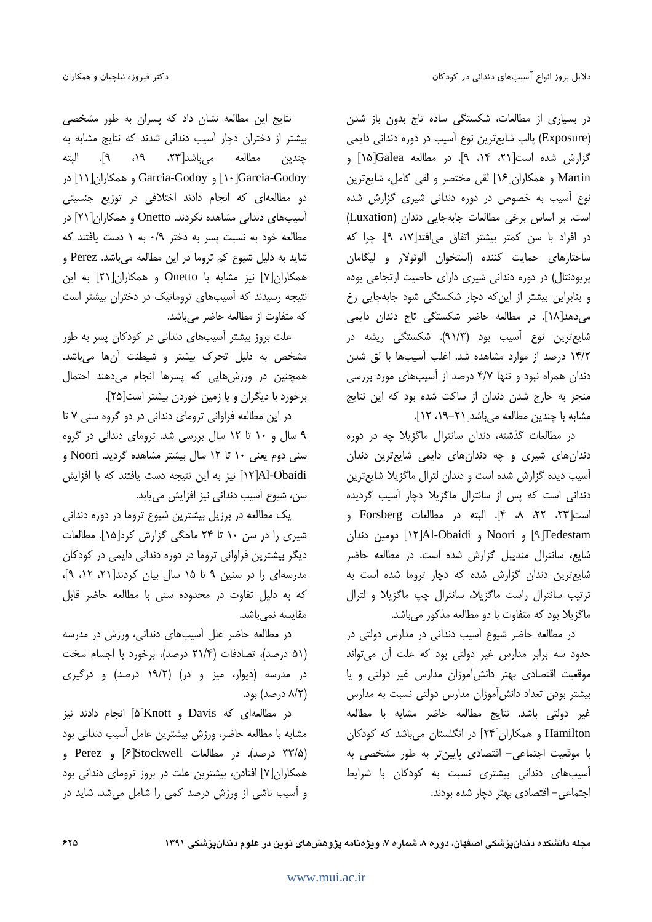در بسیاری از مطالعات، شکستگی ساده تاج بدون باز شدن (Exposure) پالپ شایعترین نوع آسیب در دوره دندانی دایمی گزارش شده است[۲۱، ۱۴، ۹]. در مطالعه Galea[۱۵] و Martin و همكاران[۱۶] لقى مختصر و لقى كامل، شايعترين نوع آسیب به خصوص در دوره دندانی شیری گزارش شده است. بر اساس برخی مطالعات جابهجایی دندان (Luxation) در افراد با سن كمتر بيشتر اتفاق مى افتد[١٧، ٩]. چرا كه ساختارهای حمایت کننده (استخوان آلوئولار و لیگامان پریودنتال) در دوره دندانی شیری دارای خاصیت ارتجاعی بوده و بنابراین بیشتر از این که دچار شکستگی شود جابهجایی رخ می دهد[۱۸]. در مطالعه حاضر شکستگی تاج دندان دایمی شايعترين نوع آسيب بود (٩١/٣). شكستگي ريشه در ۱۴/۲ درصد از موارد مشاهده شد. اغلب آسیبها با لق شدن دندان همراه نبود و تنها ۴/۷ درصد از آسیبهای مورد بررسی منجر به خارج شدن دندان از ساكت شده بود كه اين نتايج مشابه با چندین مطالعه می باشد[۲۱-۱۹، ۱۲].

در مطالعات گذشته، دندان سانترال ماگزیلا چه در دوره دندانهای شیری و چه دندانهای دایمی شایعترین دندان آسیب دیده گزارش شده است و دندان لترال ماگزیلا شایع ترین دندانی است که پس از سانترال ماگزیلا دچار آسیب گردیده است[۲۳، ۲۲، ۸، ۴]. البته در مطالعات Forsberg و Tedestam] و Noori و Nal-Obaidi[1] دومین دندان شايع، سانترال منديبل گزارش شده است. در مطالعه حاضر شایعترین دندان گزارش شده که دچار تروما شده است به ترتیب سانترال راست ماگزیلا، سانترال چپ ماگزیلا و لترال ماگزیلا بود که متفاوت با دو مطالعه مذکور میباشد.

در مطالعه حاضر شیوع آسیب دندانی در مدارس دولتی در حدود سه برابر مدارس غیر دولتی بود که علت آن میتواند موقعیت اقتصادی بهتر دانش آموزان مدارس غیر دولتی و یا بیشتر بودن تعداد دانش آموزان مدارس دولتی نسبت به مدارس غير دولتي باشد. نتايج مطالعه حاضر مشابه با مطالعه Hamilton و همکاران[۲۴] در انگلستان میباشد که کودکان با موقعیت اجتماعی- اقتصادی پایینتر به طور مشخصی به آسیبهای دندانی بیشتری نسبت به کودکان با شرایط اجتماعی- اقتصادی بهتر دچار شده بودند.

نتایج این مطالعه نشان داد که پسران به طور مشخصی بیشتر از دختران دچار آسیب دندانی شدند که نتایج مشابه به چندين مطالعه میباشد[۳۳، ۱۹، ۹]. البته Garcia-Godoy و Garcia-Godoy و همكاران[۱۱] در دو مطالعهای که انجام دادند اختلافی در توزیع جنسیتی آسیبهای دندانی مشاهده نکردند. Onetto و همکاران[۲۱] در مطالعه خود به نسبت پسر به دختر ٠/٩ به ١ دست يافتند كه شاید به دلیل شیوع کم تروما در این مطالعه میباشد. Perez و همکاران[۷] نیز مشابه با Onetto و همکاران[۲۱] به این نتیجه رسیدند که آسیبهای تروماتیک در دختران بیشتر است كه متفاوت از مطالعه حاضر می باشد.

علت بروز بیشتر آسیبهای دندانی در کودکان پسر به طور مشخص به دلیل تحرک بیشتر و شیطنت آنها میباشد. همچنین در ورزشهایی که پسرها انجام می دهند احتمال برخورد با دیگران و یا زمین خوردن بیشتر است[۲۵].

در این مطالعه فراوانی ترومای دندانی در دو گروه سنی ۷ تا ۹ سال و ۱۰ تا ۱۲ سال بررسی شد. ترومای دندانی در گروه سنی دوم یعنی ۱۰ تا ۱۲ سال بیشتر مشاهده گردید. Noori و Al-Obaidi) [1] نيز به اين نتيجه دست يافتند كه با افزايش سن، شیوع آسیب دندانی نیز افزایش می یابد.

یک مطالعه در برزیل بیشترین شیوع تروما در دوره دندانی شیری را در سن ۱۰ تا ۲۴ ماهگی گزارش کرد[۱۵]. مطالعات دیگر بیشترین فراوانی تروما در دوره دندانی دایمی در کودکان مدرسهای را در سنین ۹ تا ۱۵ سال بیان کردند[۲۱، ۱۲، ۹]، که به دلیل تفاوت در محدوده سنی با مطالعه حاضر قابل مقايسه نمىباشد.

در مطالعه حاضر علل آسیبهای دندانی، ورزش در مدرسه (۵۱ درصد)، تصادفات (۲۱/۴ درصد)، برخورد با اجسام سخت در مدرسه (دیوار، میز و در) (۱۹/۲ درصد) و درگیری (۸/۲ درصد) بود.

در مطالعهای که Davis و Knott[۵] انجام دادند نیز مشابه با مطالعه حاضر، ورزش بیشترین عامل أسیب دندانی بود (۳۳/۵ درصد). در مطالعات Stockwell[۶] و Perez و همکاران[۷] افتادن، بیشترین علت در بروز ترومای دندانی بود و آسیب ناشی از ورزش درصد کمی را شامل میشد. شاید در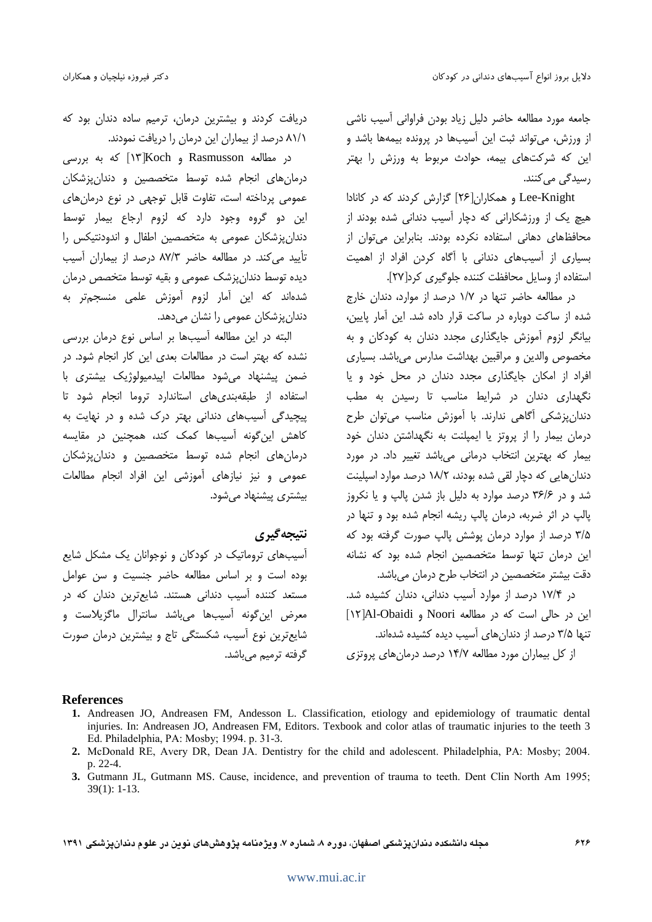جامعه مورد مطالعه حاضر دلیل زیاد بودن فراوانی آسیب ناشی از ورزش، می تواند ثبت این آسیبها در پرونده بیمهها باشد و این که شرکتهای بیمه، حوادث مربوط به ورزش را بهتر رسیدگی می کنند.

Lee-Knight و همكاران[۲۶] گزارش كردند كه در كانادا هیچ یک از ورزشکارانی که دچار آسیب دندانی شده بودند از محافظهای دهانی استفاده نکرده بودند. بنابراین می توان از بسیاری از آسیبهای دندانی با آگاه کردن افراد از اهمیت استفاده از وسایل محافظت کننده جلوگیری کرد[۲۷].

در مطالعه حاضر تنها در ١/٧ درصد از موارد، دندان خارج شده از ساكت دوباره در ساكت قرار داده شد. اين آمار پايين، بیانگر لزوم آموزش جایگذاری مجدد دندان به کودکان و به مخصوص والدين و مراقبين بهداشت مدارس مي باشد. بسياري افراد از امکان جایگذاری مجدد دندان در محل خود و یا نگهداری دندان در شرایط مناسب تا رسیدن به مطب دندان،پزشکی آگاهی ندارند. با آموزش مناسب می توان طرح درمان بیمار را از پروتز یا ایمپلنت به نگهداشتن دندان خود بیمار که بهترین انتخاب درمانی میباشد تغییر داد. در مورد دندان هایی که دچار لقی شده بودند، ۱۸/۲ درصد موارد اسپلینت شد و در ۳۶/۶ درصد موارد به دلیل باز شدن پالپ و یا نکروز پالپ در اثر ضربه، درمان پالپ ریشه انجام شده بود و تنها در ۳/۵ درصد از موارد درمان پوشش پالپ صورت گرفته بود که این درمان تنها توسط متخصصین انجام شده بود که نشانه دقت بیشتر متخصصین در انتخاب طرح درمان میباشد.

در ۱۷/۴ درصد از موارد آسیب دندانی، دندان کشیده شد. این در حالی است که در مطالعه Noori و Al-Obaidi[۱۲] تنها ۳/۵ درصد از دندان های آسیب دیده کشیده شدهاند. از کل بیماران مورد مطالعه ۱۴/۷ درصد درمان های پروتزی

دریافت کردند و بیشترین درمان، ترمی<sub>م</sub> ساده دندان بود که ٨١/١ درصد از بيماران اين درمان را دريافت نمودند.

در مطالعه Rasmusson و N۳]Koch[۱۳] که به بررسی درمان های انجام شده توسط متخصصین و دندانپزشکان عمومی پرداخته است، تفاوت قابل توجهی در نوع درمانهای این دو گروه وجود دارد که لزوم ارجاع بیمار توسط دندان پزشکان عمومی به متخصصین اطفال و اندودنتیکس را تأييد مي كند. در مطالعه حاضر ٨٧/٣ درصد از بيماران آسيب دیده توسط دندانپزشک عمومی و بقیه توسط متخصص درمان شدهاند که این آمار لزوم آموزش علمی منسجمتر به دندان پزشکان عمومی را نشان می دهد.

البته در این مطالعه آسیبها بر اساس نوع درمان بررسی نشده که بهتر است در مطالعات بعدی این کار انجام شود. در ضمن پیشنهاد میشود مطالعات اپیدمیولوژیک بیشتری با استفاده از طبقهبندی های استاندارد تروما انجام شود تا پیچیدگی آسیبهای دندانی بهتر درک شده و در نهایت به کاهش این گونه آسیبها کمک کند، همچنین در مقایسه درمان های انجام شده توسط متخصصین و دندان<u>بز</u>شکان عمومی و نیز نیازهای آموزشی این افراد انجام مطالعات بیشتری پیشنهاد میشود.

#### نتيجه گيري

آسیبهای تروماتیک در کودکان و نوجوانان یک مشکل شایع بوده است و بر اساس مطالعه حاضر جنسیت و سن عوامل مستعد کننده آسیب دندانی هستند. شایعترین دندان که در معرض این گونه آسیبها میباشد سانترال ماگزیلاست و شایع ترین نوع آسیب، شکستگی تاج و بیشترین درمان صورت گرفته ترمیم مے باشد.

#### **References**

- 1. Andreasen JO, Andreasen FM, Andesson L. Classification, etiology and epidemiology of traumatic dental injuries. In: Andreasen JO, Andreasen FM, Editors. Texbook and color atlas of traumatic injuries to the teeth 3 Ed. Philadelphia, PA: Mosby; 1994. p. 31-3.
- 2. McDonald RE, Avery DR, Dean JA. Dentistry for the child and adolescent. Philadelphia, PA: Mosby; 2004. p. 22-4.
- 3. Gutmann JL, Gutmann MS. Cause, incidence, and prevention of trauma to teeth. Dent Clin North Am 1995;  $39(1): 1-13.$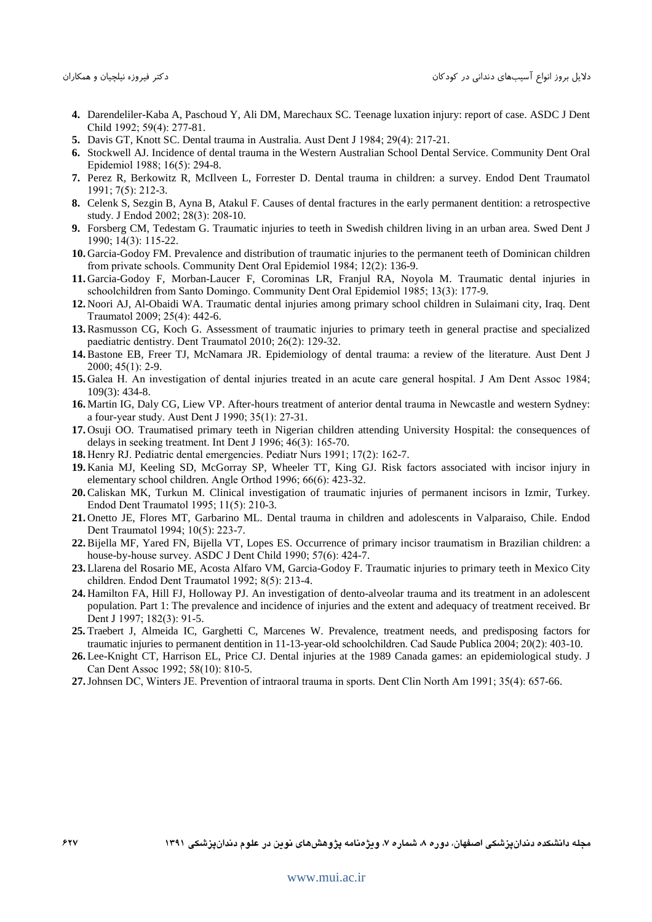- **4.** Darendeliler-Kaba A, Paschoud Y, Ali DM, Marechaux SC. Teenage luxation injury: report of case. ASDC J Dent Child 1992; 59(4): 277-81.
- **5.** Davis GT, Knott SC. Dental trauma in Australia. Aust Dent J 1984; 29(4): 217-21.
- **6.** Stockwell AJ. Incidence of dental trauma in the Western Australian School Dental Service. Community Dent Oral Epidemiol 1988; 16(5): 294-8.
- **7.** Perez R, Berkowitz R, McIlveen L, Forrester D. Dental trauma in children: a survey. Endod Dent Traumatol 1991; 7(5): 212-3.
- **8.** Celenk S, Sezgin B, Ayna B, Atakul F. Causes of dental fractures in the early permanent dentition: a retrospective study. J Endod 2002; 28(3): 208-10.
- **9.** Forsberg CM, Tedestam G. Traumatic injuries to teeth in Swedish children living in an urban area. Swed Dent J 1990; 14(3): 115-22.
- **10.** Garcia-Godoy FM. Prevalence and distribution of traumatic injuries to the permanent teeth of Dominican children from private schools. Community Dent Oral Epidemiol 1984; 12(2): 136-9.
- **11.** Garcia-Godoy F, Morban-Laucer F, Corominas LR, Franjul RA, Noyola M. Traumatic dental injuries in schoolchildren from Santo Domingo. Community Dent Oral Epidemiol 1985; 13(3): 177-9.
- **12.** Noori AJ, Al-Obaidi WA. Traumatic dental injuries among primary school children in Sulaimani city, Iraq. Dent Traumatol 2009; 25(4): 442-6.
- **13.**Rasmusson CG, Koch G. Assessment of traumatic injuries to primary teeth in general practise and specialized paediatric dentistry. Dent Traumatol 2010; 26(2): 129-32.
- **14.**Bastone EB, Freer TJ, McNamara JR. Epidemiology of dental trauma: a review of the literature. Aust Dent J 2000; 45(1): 2-9.
- **15.** Galea H. An investigation of dental injuries treated in an acute care general hospital. J Am Dent Assoc 1984; 109(3): 434-8.
- **16.** Martin IG, Daly CG, Liew VP. After-hours treatment of anterior dental trauma in Newcastle and western Sydney: a four-year study. Aust Dent J 1990; 35(1): 27-31.
- **17.** Osuji OO. Traumatised primary teeth in Nigerian children attending University Hospital: the consequences of delays in seeking treatment. Int Dent J 1996; 46(3): 165-70.
- **18.** Henry RJ. Pediatric dental emergencies. Pediatr Nurs 1991; 17(2): 162-7.
- **19.** Kania MJ, Keeling SD, McGorray SP, Wheeler TT, King GJ. Risk factors associated with incisor injury in elementary school children. Angle Orthod 1996; 66(6): 423-32.
- **20.**Caliskan MK, Turkun M. Clinical investigation of traumatic injuries of permanent incisors in Izmir, Turkey. Endod Dent Traumatol 1995; 11(5): 210-3.
- **21.** Onetto JE, Flores MT, Garbarino ML. Dental trauma in children and adolescents in Valparaiso, Chile. Endod Dent Traumatol 1994; 10(5): 223-7.
- **22.**Bijella MF, Yared FN, Bijella VT, Lopes ES. Occurrence of primary incisor traumatism in Brazilian children: a house-by-house survey. ASDC J Dent Child 1990; 57(6): 424-7.
- **23.** Llarena del Rosario ME, Acosta Alfaro VM, Garcia-Godoy F. Traumatic injuries to primary teeth in Mexico City children. Endod Dent Traumatol 1992; 8(5): 213-4.
- **24.** Hamilton FA, Hill FJ, Holloway PJ. An investigation of dento-alveolar trauma and its treatment in an adolescent population. Part 1: The prevalence and incidence of injuries and the extent and adequacy of treatment received. Br Dent J 1997; 182(3): 91-5.
- **25.** Traebert J, Almeida IC, Garghetti C, Marcenes W. Prevalence, treatment needs, and predisposing factors for traumatic injuries to permanent dentition in 11-13-year-old schoolchildren. Cad Saude Publica 2004; 20(2): 403-10.
- **26.** Lee-Knight CT, Harrison EL, Price CJ. Dental injuries at the 1989 Canada games: an epidemiological study. J Can Dent Assoc 1992; 58(10): 810-5.
- **27.**Johnsen DC, Winters JE. Prevention of intraoral trauma in sports. Dent Clin North Am 1991; 35(4): 657-66.